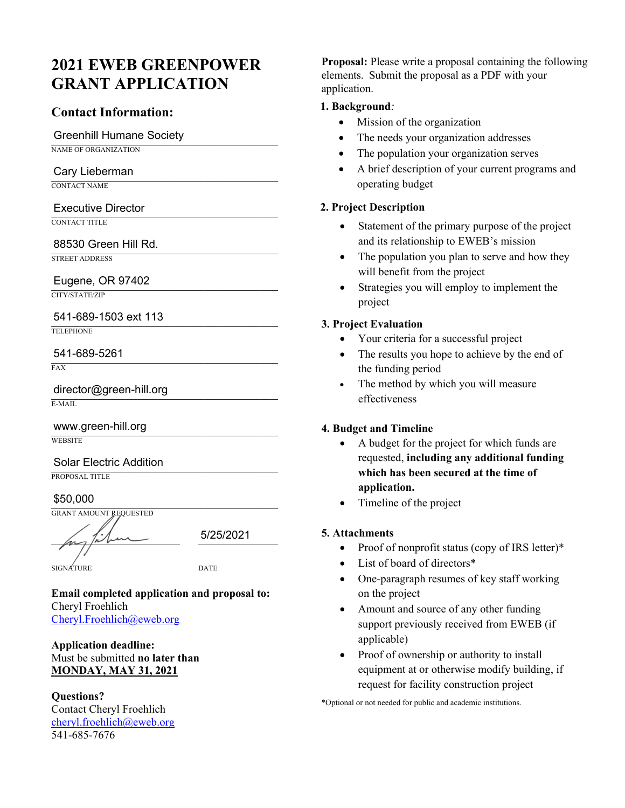# **2021 EWEB GREENPOWER GRANT APPLICATION**

#### **Contact Information:**

### Greenhill Humane Society

NAME OF ORGANIZATION

# Cary Lieberman

CONTACT NAME

# Executive Director

CONTACT TITLE

# 88530 Green Hill Rd.

STREET ADDRESS

# Eugene, OR 97402

CITY/STATE/ZIP

# \_\_\_\_\_\_\_\_\_\_\_\_\_\_\_\_\_\_\_\_\_\_\_\_\_\_\_\_\_\_\_\_\_\_\_\_\_ 541-689-1503 ext 113

TELEPHONE

# \_\_\_\_\_\_\_\_\_\_\_\_\_\_\_\_\_\_\_\_\_\_\_\_\_\_\_\_\_\_\_\_\_\_\_\_\_ 541-689-5261

FAX

director@green-hill.org E-MAIL

www.green-hill.org **WEBSITE** 

# Solar Electric Addition

PROPOSAL TITLE

 $$50,000$ \$50,000

GRANT AMOUNT REQUESTED

 $\mu$ ,  $\mu$   $\mu$   $\sim$  5/25/2021

SIGNATURE DATE

**Email completed application and proposal to:** Cheryl Froehlich Cheryl.Froehlich@eweb.org

#### **Application deadline:**  Must be submitted **no later than MONDAY, MAY 31, 2021**

**Questions?**  Contact Cheryl Froehlich cheryl.froehlich@eweb.org 541-685-7676

**Proposal:** Please write a proposal containing the following elements. Submit the proposal as a PDF with your application.

#### **1. Background***:*

- Mission of the organization
- The needs your organization addresses
- The population your organization serves
- A brief description of your current programs and operating budget

#### **2. Project Description**

- Statement of the primary purpose of the project and its relationship to EWEB's mission
- The population you plan to serve and how they will benefit from the project
- Strategies you will employ to implement the project

#### **3. Project Evaluation**

- Your criteria for a successful project
- The results you hope to achieve by the end of the funding period
- The method by which you will measure effectiveness

#### **4. Budget and Timeline**

- A budget for the project for which funds are requested, **including any additional funding which has been secured at the time of application.**
- Timeline of the project

#### **5. Attachments**

- Proof of nonprofit status (copy of IRS letter)\*
- List of board of directors\*
- One-paragraph resumes of key staff working on the project
- Amount and source of any other funding support previously received from EWEB (if applicable)
- Proof of ownership or authority to install equipment at or otherwise modify building, if request for facility construction project

\*Optional or not needed for public and academic institutions.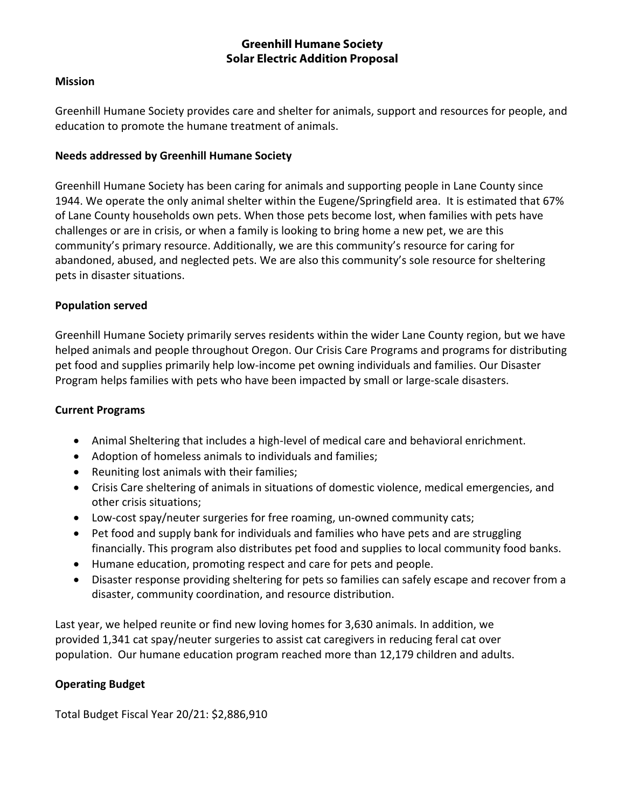#### **Greenhill Humane Society Solar Electric Addition Proposal**

#### **Mission**

Greenhill Humane Society provides care and shelter for animals, support and resources for people, and education to promote the humane treatment of animals.

#### **Needs addressed by Greenhill Humane Society**

Greenhill Humane Society has been caring for animals and supporting people in Lane County since 1944. We operate the only animal shelter within the Eugene/Springfield area. It is estimated that 67% of Lane County households own pets. When those pets become lost, when families with pets have challenges or are in crisis, or when a family is looking to bring home a new pet, we are this community's primary resource. Additionally, we are this community's resource for caring for abandoned, abused, and neglected pets. We are also this community's sole resource for sheltering pets in disaster situations.

#### **Population served**

Greenhill Humane Society primarily serves residents within the wider Lane County region, but we have helped animals and people throughout Oregon. Our Crisis Care Programs and programs for distributing pet food and supplies primarily help low-income pet owning individuals and families. Our Disaster Program helps families with pets who have been impacted by small or large-scale disasters.

#### **Current Programs**

- Animal Sheltering that includes a high-level of medical care and behavioral enrichment.
- Adoption of homeless animals to individuals and families;
- Reuniting lost animals with their families;
- Crisis Care sheltering of animals in situations of domestic violence, medical emergencies, and other crisis situations;
- Low-cost spay/neuter surgeries for free roaming, un-owned community cats;
- Pet food and supply bank for individuals and families who have pets and are struggling financially. This program also distributes pet food and supplies to local community food banks.
- Humane education, promoting respect and care for pets and people.
- Disaster response providing sheltering for pets so families can safely escape and recover from a disaster, community coordination, and resource distribution.

Last year, we helped reunite or find new loving homes for 3,630 animals. In addition, we provided 1,341 cat spay/neuter surgeries to assist cat caregivers in reducing feral cat over population. Our humane education program reached more than 12,179 children and adults.

#### **Operating Budget**

Total Budget Fiscal Year 20/21: \$2,886,910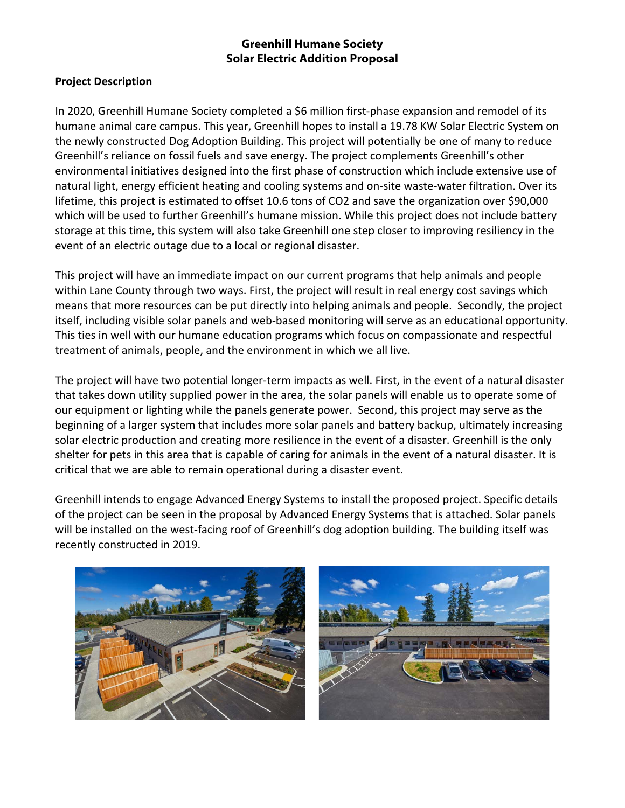#### **Greenhill Humane Society Solar Electric Addition Proposal**

#### **Project Description**

In 2020, Greenhill Humane Society completed a \$6 million first-phase expansion and remodel of its humane animal care campus. This year, Greenhill hopes to install a 19.78 KW Solar Electric System on the newly constructed Dog Adoption Building. This project will potentially be one of many to reduce Greenhill's reliance on fossil fuels and save energy. The project complements Greenhill's other environmental initiatives designed into the first phase of construction which include extensive use of natural light, energy efficient heating and cooling systems and on-site waste-water filtration. Over its lifetime, this project is estimated to offset 10.6 tons of CO2 and save the organization over \$90,000 which will be used to further Greenhill's humane mission. While this project does not include battery storage at this time, this system will also take Greenhill one step closer to improving resiliency in the event of an electric outage due to a local or regional disaster.

This project will have an immediate impact on our current programs that help animals and people within Lane County through two ways. First, the project will result in real energy cost savings which means that more resources can be put directly into helping animals and people. Secondly, the project itself, including visible solar panels and web-based monitoring will serve as an educational opportunity. This ties in well with our humane education programs which focus on compassionate and respectful treatment of animals, people, and the environment in which we all live.

The project will have two potential longer-term impacts as well. First, in the event of a natural disaster that takes down utility supplied power in the area, the solar panels will enable us to operate some of our equipment or lighting while the panels generate power. Second, this project may serve as the beginning of a larger system that includes more solar panels and battery backup, ultimately increasing solar electric production and creating more resilience in the event of a disaster. Greenhill is the only shelter for pets in this area that is capable of caring for animals in the event of a natural disaster. It is critical that we are able to remain operational during a disaster event.

Greenhill intends to engage Advanced Energy Systems to install the proposed project. Specific details of the project can be seen in the proposal by Advanced Energy Systems that is attached. Solar panels will be installed on the west-facing roof of Greenhill's dog adoption building. The building itself was recently constructed in 2019.



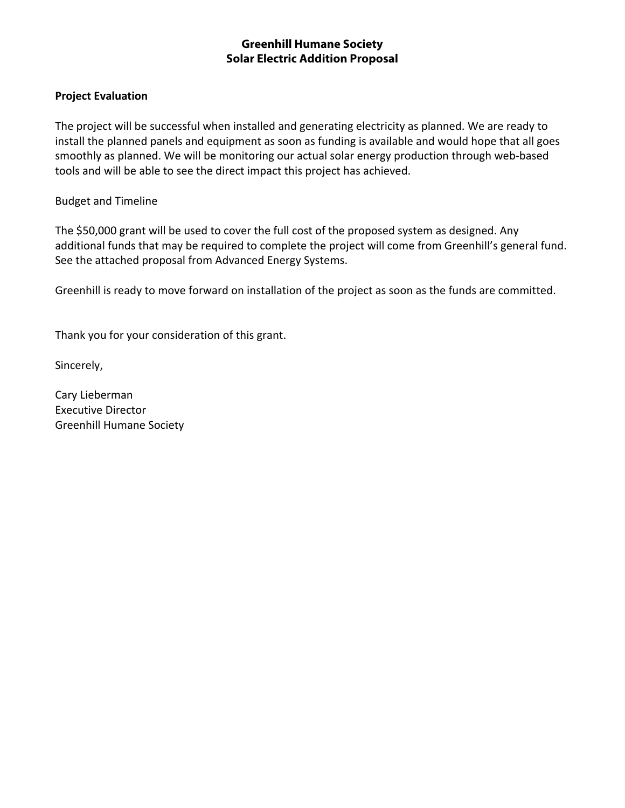#### **Greenhill Humane Society Solar Electric Addition Proposal**

#### **Project Evaluation**

The project will be successful when installed and generating electricity as planned. We are ready to install the planned panels and equipment as soon as funding is available and would hope that all goes smoothly as planned. We will be monitoring our actual solar energy production through web-based tools and will be able to see the direct impact this project has achieved.

#### Budget and Timeline

The \$50,000 grant will be used to cover the full cost of the proposed system as designed. Any additional funds that may be required to complete the project will come from Greenhill's general fund. See the attached proposal from Advanced Energy Systems.

Greenhill is ready to move forward on installation of the project as soon as the funds are committed.

Thank you for your consideration of this grant.

Sincerely,

Cary Lieberman Executive Director Greenhill Humane Society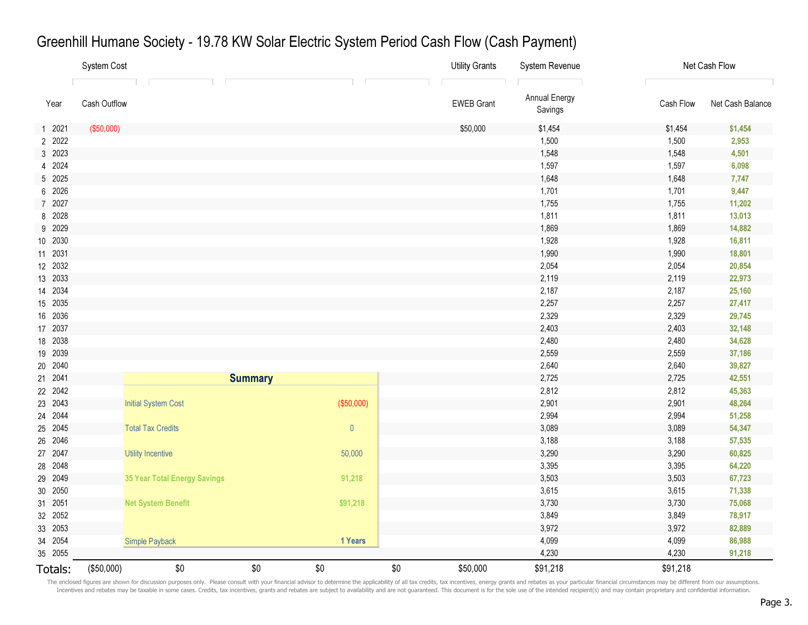|         | System Cost  |                              |     |             |     | <b>Utility Grants</b> | System Revenue           | Net Cash Flow |                  |
|---------|--------------|------------------------------|-----|-------------|-----|-----------------------|--------------------------|---------------|------------------|
|         |              |                              |     |             |     |                       |                          |               |                  |
| Year    | Cash Outflow |                              |     |             |     | <b>EWEB Grant</b>     | Annual Energy<br>Savings | Cash Flow     | Net Cash Balance |
| 1 2021  | (\$50,000)   |                              |     |             |     | \$50,000              | \$1,454                  | \$1,454       | \$1,454          |
| 2 2022  |              |                              |     |             |     |                       | 1,500                    | 1,500         | 2,953            |
| 3 2023  |              |                              |     |             |     |                       | 1,548                    | 1,548         | 4,501            |
| 4 2024  |              |                              |     |             |     |                       | 1,597                    | 1,597         | 6,098            |
| 5 2025  |              |                              |     |             |     |                       | 1,648                    | 1,648         | 7,747            |
| 6 2026  |              |                              |     |             |     |                       | 1,701                    | 1,701         | 9,447            |
| 7 2027  |              |                              |     |             |     |                       | 1,755                    | 1,755         | 11,202           |
| 8 2028  |              |                              |     |             |     |                       | 1,811                    | 1,811         | 13,013           |
| 9 2029  |              |                              |     |             |     |                       | 1,869                    | 1,869         | 14,882           |
| 10 2030 |              |                              |     |             |     |                       | 1,928                    | 1,928         | 16,811           |
| 11 2031 |              |                              |     |             |     |                       | 1,990                    | 1,990         | 18,801           |
| 12 2032 |              |                              |     |             |     |                       | 2,054                    | 2,054         | 20,854           |
| 13 2033 |              |                              |     |             |     |                       | 2,119                    | 2,119         | 22,973           |
| 14 2034 |              |                              |     |             |     |                       | 2,187                    | 2,187         | 25,160           |
| 15 2035 |              |                              |     |             |     |                       | 2,257                    | 2,257         | 27,417           |
| 16 2036 |              |                              |     |             |     |                       | 2,329                    | 2,329         | 29,745           |
| 17 2037 |              |                              |     |             |     |                       | 2,403                    | 2,403         | 32,148           |
| 18 2038 |              |                              |     |             |     |                       | 2,480                    | 2,480         | 34,628           |
| 19 2039 |              |                              |     |             |     |                       | 2,559                    | 2,559         | 37,186           |
| 20 2040 |              |                              |     |             |     |                       | 2,640                    | 2,640         | 39,827           |
| 21 2041 |              |                              |     |             |     | 2,725                 | 2,725                    | 42,551        |                  |
| 22 2042 |              |                              |     |             |     |                       | 2,812                    | 2,812         | 45,363           |
| 23 2043 |              | <b>Initial System Cost</b>   |     | (\$50,000)  |     |                       | 2,901                    | 2,901         | 48,264           |
| 24 2044 |              |                              |     |             |     |                       | 2,994                    | 2,994         | 51,258           |
| 25 2045 |              | <b>Total Tax Credits</b>     |     | $\mathbf 0$ |     |                       | 3,089                    | 3,089         | 54,347           |
| 26 2046 |              |                              |     |             |     |                       | 3,188                    | 3,188         | 57,535           |
| 27 2047 |              | <b>Utility Incentive</b>     |     | 50,000      |     |                       | 3,290                    | 3,290         | 60,825           |
| 28 2048 |              |                              |     |             |     |                       | 3,395                    | 3,395         | 64,220           |
| 29 2049 |              | 35 Year Total Energy Savings |     | 91,218      |     |                       | 3,503                    | 3,503         | 67,723           |
| 30 2050 |              |                              |     |             |     |                       | 3,615                    | 3,615         | 71,338           |
| 31 2051 |              | <b>Net System Benefit</b>    |     | \$91,218    |     |                       | 3,730                    | 3,730         | 75,068           |
| 32 2052 |              |                              |     |             |     |                       | 3,849                    | 3,849         | 78,917           |
| 33 2053 |              |                              |     |             |     |                       | 3,972                    | 3,972         | 82,889           |
| 34 2054 |              | <b>Simple Payback</b>        |     | 1 Years     |     |                       | 4,099                    | 4,099         | 86,988           |
| 35 2055 |              |                              |     |             |     |                       | 4,230                    | 4,230         | 91,218           |
| Totals: | (\$50,000)   | \$0                          | \$0 | \$0         | \$0 | \$50,000              | \$91,218                 | \$91,218      |                  |

# Greenhill Humane Society - 19.78 KW Solar Electric System Period Cash Flow (Cash Payment)

The enclosed figures are shown for discussion purposes only. Please consult with your financial advisor to determine the applicability of all tax credits, tax incentives, energy grants and rebates as your particular financ Incentives and rebates may be taxable in some cases. Credits, tax incentives, grants and rebates are subject to availability and are not guaranteed. This document is for the sole use of the intended recipient(s) and may co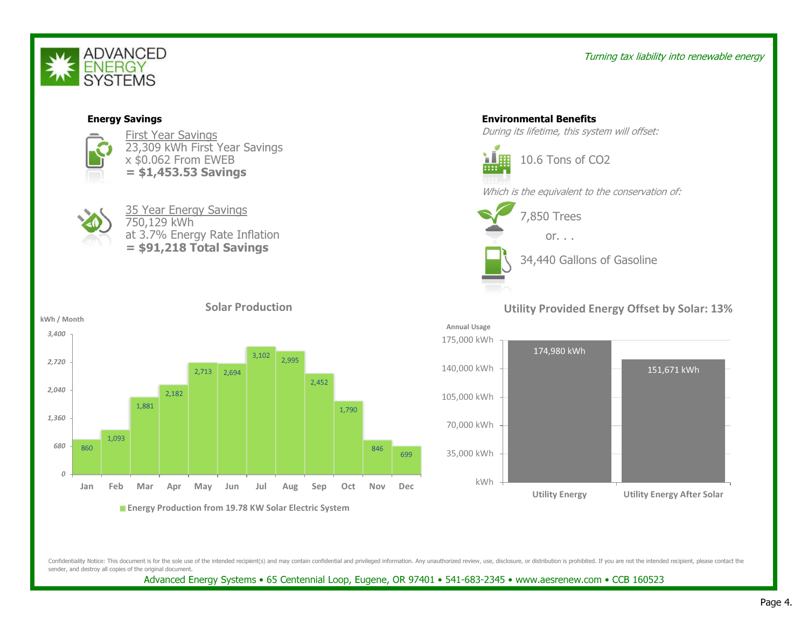

#### Turning tax liability into renewable energy



Confidentiality Notice: This document is for the sole use of the intended recipient(s) and may contain confidential and privileged information. Any unauthorized review, use, disclosure, or distribution is prohibited. If yo sender, and destroy all copies of the original document.

Advanced Energy Systems • 65 Centennial Loop, Eugene, OR 97401 • 541-683-2345 • www.aesrenew.com • CCB 160523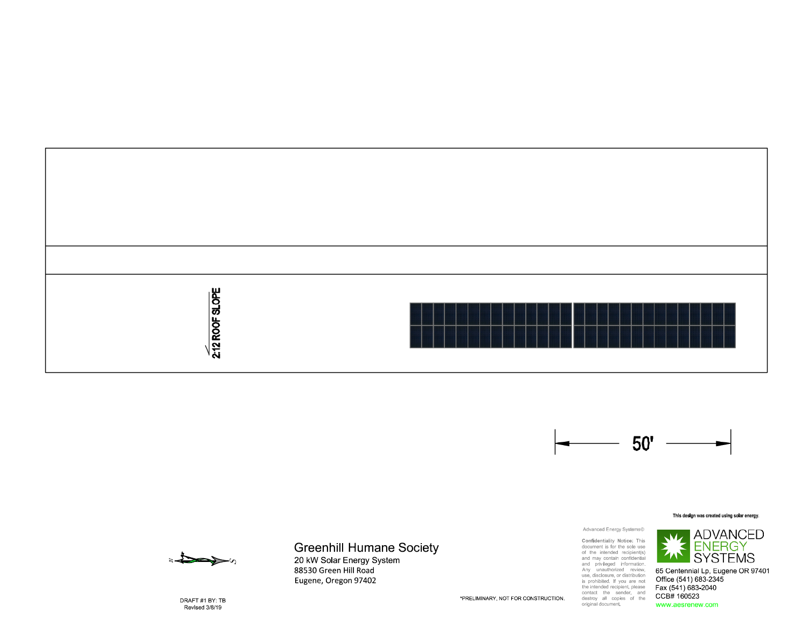



#### This design was created using solar energy



### **Greenhill Humane Society**

20 kW Solar Energy System 88530 Green Hill Road Eugene, Oregon 97402

Advanced Energy Systems©

Confidentiality Motice: This<br>document is for the sole use<br>of the inhended recipient(s)<br>and may contain confidential<br>and privileged information.<br>they unauthorized review,<br>use, disclosure, or distribution<br>the inhended recipi



65 Centennial Lp, Eugene OR 97401 Office (541) 683-2345 Fax (541) 683-2040 CCB# 160523 www.aesrenew.com

DRAFT #1 BY: TB Revised 3/8/19

\*PRELIMINARY, NOT FOR CONSTRUCTION.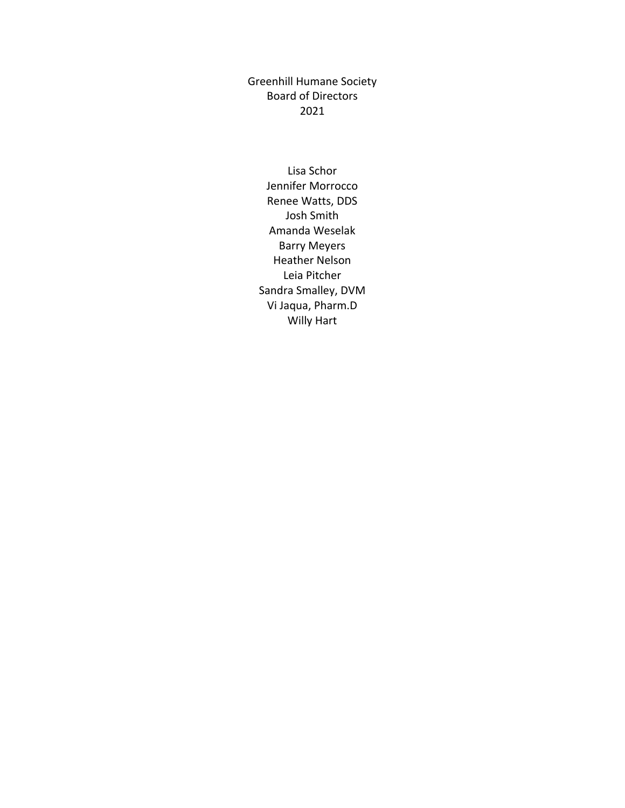Greenhill Humane Society Board of Directors 2021

Lisa Schor Jennifer Morrocco Renee Watts, DDS Josh Smith Amanda Weselak Barry Meyers Heather Nelson Leia Pitcher Sandra Smalley, DVM Vi Jaqua, Pharm.D Willy Hart